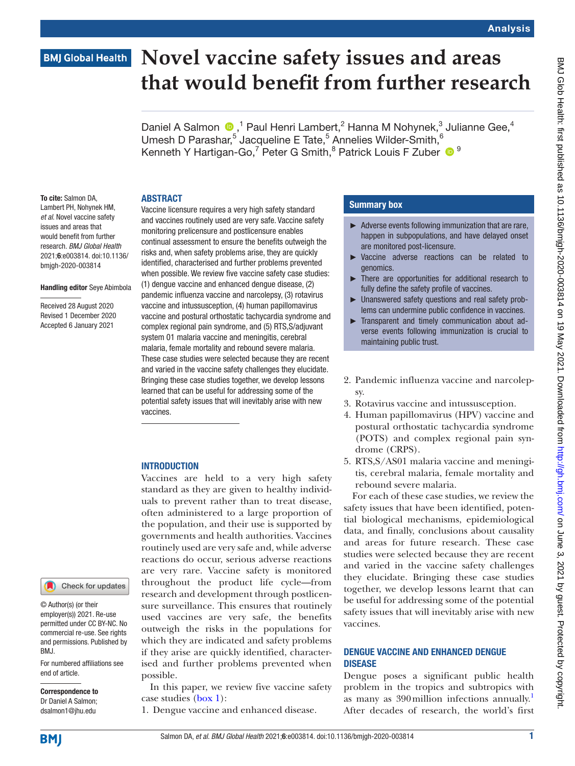## **BMJ Global Health**

# **Novel vaccine safety issues and areas that would benefit from further research**

Daniel A Salmon  $\bigcirc$ ,<sup>1</sup> Paul Henri Lambert,<sup>2</sup> Hanna M Nohynek,<sup>3</sup> Julianne Gee,<sup>4</sup> Umesh D Parashar,<sup>5</sup> Jacqueline E Tate,<sup>5</sup> Annelies Wilder-Smith,  $6$ Kenneth Y Hartigan-Go,<sup>7</sup> Peter G Smith,<sup>8</sup> Patrick Louis F Zuber <sup>19</sup>

#### **ABSTRACT**

To cite: Salmon DA, Lambert PH, Nohynek HM, *et al*. Novel vaccine safety issues and areas that would benefit from further research. *BMJ Global Health* 2021;6:e003814. doi:10.1136/ bmjgh-2020-003814

#### Handling editor Seye Abimbola

Received 28 August 2020 Revised 1 December 2020 Accepted 6 January 2021

Vaccine licensure requires a very high safety standard and vaccines routinely used are very safe. Vaccine safety monitoring prelicensure and postlicensure enables continual assessment to ensure the benefits outweigh the risks and, when safety problems arise, they are quickly identified, characterised and further problems prevented when possible. We review five vaccine safety case studies: (1) dengue vaccine and enhanced dengue disease, (2) pandemic influenza vaccine and narcolepsy, (3) rotavirus vaccine and intussusception, (4) human papillomavirus vaccine and postural orthostatic tachycardia syndrome and complex regional pain syndrome, and (5) RTS,S/adjuvant system 01 malaria vaccine and meningitis, cerebral malaria, female mortality and rebound severe malaria. These case studies were selected because they are recent and varied in the vaccine safety challenges they elucidate. Bringing these case studies together, we develop lessons learned that can be useful for addressing some of the potential safety issues that will inevitably arise with new vaccines.

#### **INTRODUCTION**

Vaccines are held to a very high safety standard as they are given to healthy individuals to prevent rather than to treat disease, often administered to a large proportion of the population, and their use is supported by governments and health authorities. Vaccines routinely used are very safe and, while adverse reactions do occur, serious adverse reactions are very rare. Vaccine safety is monitored throughout the product life cycle—from research and development through postlicensure surveillance. This ensures that routinely used vaccines are very safe, the benefits outweigh the risks in the populations for which they are indicated and safety problems if they arise are quickly identified, characterised and further problems prevented when possible.

In this paper, we review five vaccine safety case studies ([box](#page-1-0) 1):

1. Dengue vaccine and enhanced disease.

#### Summary box

- ► Adverse events following immunization that are rare, happen in subpopulations, and have delayed onset are monitored post-licensure.
- ► Vaccine adverse reactions can be related to genomics.
- There are opportunities for additional research to fully define the safety profile of vaccines.
- ► Unanswered safety questions and real safety problems can undermine public confidence in vaccines.
- ► Transparent and timely communication about adverse events following immunization is crucial to maintaining public trust.
- 2. Pandemic influenza vaccine and narcolepsy.
- 3. Rotavirus vaccine and intussusception.
- 4. Human papillomavirus (HPV) vaccine and postural orthostatic tachycardia syndrome (POTS) and complex regional pain syndrome (CRPS).
- 5. RTS,S/AS01 malaria vaccine and meningitis, cerebral malaria, female mortality and rebound severe malaria.

For each of these case studies, we review the safety issues that have been identified, potential biological mechanisms, epidemiological data, and finally, conclusions about causality and areas for future research. These case studies were selected because they are recent and varied in the vaccine safety challenges they elucidate. Bringing these case studies together, we develop lessons learnt that can be useful for addressing some of the potential safety issues that will inevitably arise with new vaccines.

#### DENGUE VACCINE AND ENHANCED DENGUE DISEASE

Dengue poses a significant public health problem in the tropics and subtropics with as many as 390 million infections annually.<sup>[1](#page-8-0)</sup> After decades of research, the world's first

**BMI** 

end of article.

BMJ.

Correspondence to Dr Daniel A Salmon; dsalmon1@jhu.edu

© Author(s) (or their employer(s)) 2021. Re-use permitted under CC BY-NC. No commercial re-use. See rights and permissions. Published by

For numbered affiliations see

Check for updates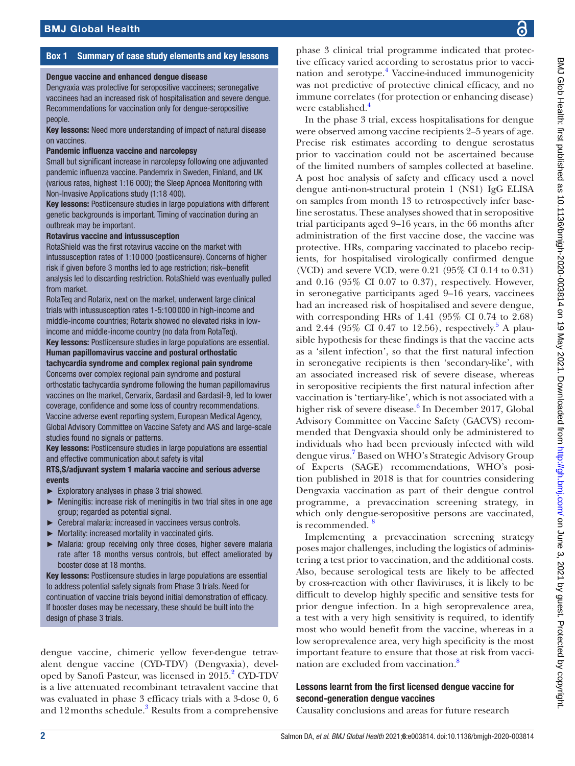### Box 1 Summary of case study elements and key lessons

#### <span id="page-1-0"></span>Dengue vaccine and enhanced dengue disease

Dengvaxia was protective for seropositive vaccinees; seronegative vaccinees had an increased risk of hospitalisation and severe dengue. Recommendations for vaccination only for dengue-seropositive people.

Key lessons: Need more understanding of impact of natural disease on vaccines.

#### Pandemic influenza vaccine and narcolepsy

Small but significant increase in narcolepsy following one adjuvanted pandemic influenza vaccine. Pandemrix in Sweden, Finland, and UK (various rates, highest 1:16 000); the Sleep Apnoea Monitoring with Non-Invasive Applications study (1:18 400).

Key lessons: Postlicensure studies in large populations with different genetic backgrounds is important. Timing of vaccination during an outbreak may be important.

#### Rotavirus vaccine and intussusception

RotaShield was the first rotavirus vaccine on the market with intussusception rates of 1:10 000 (postlicensure). Concerns of higher risk if given before 3 months led to age restriction; risk–benefit analysis led to discarding restriction. RotaShield was eventually pulled from market.

RotaTeq and Rotarix, next on the market, underwent large clinical trials with intussusception rates 1-5:100 000 in high-income and middle-income countries; Rotarix showed no elevated risks in lowincome and middle-income country (no data from RotaTeq). Key lessons: Postlicensure studies in large populations are essential. Human papillomavirus vaccine and postural orthostatic tachycardia syndrome and complex regional pain syndrome Concerns over complex regional pain syndrome and postural orthostatic tachycardia syndrome following the human papillomavirus vaccines on the market, Cervarix, Gardasil and Gardasil-9, led to lower coverage, confidence and some loss of country recommendations. Vaccine adverse event reporting system, European Medical Agency, Global Advisory Committee on Vaccine Safety and AAS and large-scale studies found no signals or patterns.

Key lessons: Postlicensure studies in large populations are essential and effective communication about safety is vital

#### RTS,S/adjuvant system 1 malaria vaccine and serious adverse events

- ► Exploratory analyses in phase 3 trial showed.
- ► Meningitis: increase risk of meningitis in two trial sites in one age group; regarded as potential signal.
- ► Cerebral malaria: increased in vaccinees versus controls.
- ► Mortality: increased mortality in vaccinated girls.
- ► Malaria: group receiving only three doses, higher severe malaria rate after 18 months versus controls, but effect ameliorated by booster dose at 18 months.

Key lessons: Postlicensure studies in large populations are essential to address potential safety signals from Phase 3 trials. Need for continuation of vaccine trials beyond initial demonstration of efficacy. If booster doses may be necessary, these should be built into the design of phase 3 trials.

dengue vaccine, chimeric yellow fever-dengue tetravalent dengue vaccine (CYD-TDV) (Dengvaxia), devel-oped by Sanofi Pasteur, was licensed in [2](#page-8-1)015.<sup>2</sup> CYD-TDV is a live attenuated recombinant tetravalent vaccine that was evaluated in phase 3 efficacy trials with a 3-dose 0, 6 and  $12$  months schedule.<sup>3</sup> Results from a comprehensive phase 3 clinical trial programme indicated that protective efficacy varied according to serostatus prior to vacci-nation and serotype.<sup>[4](#page-9-0)</sup> Vaccine-induced immunogenicity was not predictive of protective clinical efficacy, and no immune correlates (for protection or enhancing disease) were established.<sup>[4](#page-9-0)</sup>

In the phase 3 trial, excess hospitalisations for dengue were observed among vaccine recipients 2–5 years of age. Precise risk estimates according to dengue serostatus prior to vaccination could not be ascertained because of the limited numbers of samples collected at baseline. A post hoc analysis of safety and efficacy used a novel dengue anti-non-structural protein 1 (NS1) IgG ELISA on samples from month 13 to retrospectively infer baseline serostatus. These analyses showed that in seropositive trial participants aged 9–16 years, in the 66 months after administration of the first vaccine dose, the vaccine was protective. HRs, comparing vaccinated to placebo recipients, for hospitalised virologically confirmed dengue (VCD) and severe VCD, were 0.21 (95% CI 0.14 to 0.31) and 0.16 (95% CI 0.07 to 0.37), respectively. However, in seronegative participants aged 9–16 years, vaccinees had an increased risk of hospitalised and severe dengue, with corresponding HRs of 1.41 (95% CI 0.74 to 2.68) and 2.44 ( $95\%$  $95\%$  $95\%$  CI 0.47 to 12.56), respectively.<sup>5</sup> A plausible hypothesis for these findings is that the vaccine acts as a 'silent infection', so that the first natural infection in seronegative recipients is then 'secondary-like', with an associated increased risk of severe disease, whereas in seropositive recipients the first natural infection after vaccination is 'tertiary-like', which is not associated with a higher risk of severe disease.<sup>[6](#page-9-2)</sup> In December 2017, Global Advisory Committee on Vaccine Safety (GACVS) recommended that Dengvaxia should only be administered to individuals who had been previously infected with wild dengue virus.<sup>[7](#page-9-3)</sup> Based on WHO's Strategic Advisory Group of Experts (SAGE) recommendations, WHO's position published in 2018 is that for countries considering Dengvaxia vaccination as part of their dengue control programme, a prevaccination screening strategy, in which only dengue-seropositive persons are vaccinated, is recommended.<sup>8</sup>

Implementing a prevaccination screening strategy poses major challenges, including the logistics of administering a test prior to vaccination, and the additional costs. Also, because serological tests are likely to be affected by cross-reaction with other flaviviruses, it is likely to be difficult to develop highly specific and sensitive tests for prior dengue infection. In a high seroprevalence area, a test with a very high sensitivity is required, to identify most who would benefit from the vaccine, whereas in a low seroprevalence area, very high specificity is the most important feature to ensure that those at risk from vacci-nation are excluded from vaccination.<sup>[8](#page-9-4)</sup>

#### Lessons learnt from the first licensed dengue vaccine for second-generation dengue vaccines

Causality conclusions and areas for future research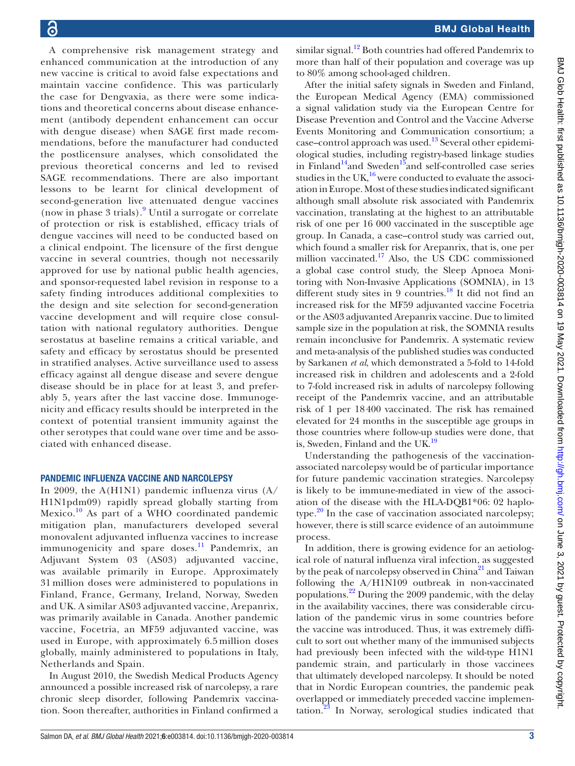A comprehensive risk management strategy and enhanced communication at the introduction of any new vaccine is critical to avoid false expectations and maintain vaccine confidence. This was particularly the case for Dengvaxia, as there were some indications and theoretical concerns about disease enhancement (antibody dependent enhancement can occur with dengue disease) when SAGE first made recommendations, before the manufacturer had conducted the postlicensure analyses, which consolidated the previous theoretical concerns and led to revised SAGE recommendations. There are also important lessons to be learnt for clinical development of second-generation live attenuated dengue vaccines (now in phase 3 trials).[9](#page-9-5) Until a surrogate or correlate of protection or risk is established, efficacy trials of dengue vaccines will need to be conducted based on a clinical endpoint. The licensure of the first dengue vaccine in several countries, though not necessarily approved for use by national public health agencies, and sponsor-requested label revision in response to a safety finding introduces additional complexities to the design and site selection for second-generation vaccine development and will require close consultation with national regulatory authorities. Dengue serostatus at baseline remains a critical variable, and safety and efficacy by serostatus should be presented in stratified analyses. Active surveillance used to assess efficacy against all dengue disease and severe dengue disease should be in place for at least 3, and preferably 5, years after the last vaccine dose. Immunogenicity and efficacy results should be interpreted in the context of potential transient immunity against the other serotypes that could wane over time and be associated with enhanced disease.

#### PANDEMIC INFLUENZA VACCINE AND NARCOLEPSY

In 2009, the A(H1N1) pandemic influenza virus (A/ H1N1pdm09) rapidly spread globally starting from Mexico. $^{10}$  $^{10}$  $^{10}$  As part of a WHO coordinated pandemic mitigation plan, manufacturers developed several monovalent adjuvanted influenza vaccines to increase immunogenicity and spare doses.<sup>11</sup> Pandemrix, an Adjuvant System 03 (AS03) adjuvanted vaccine, was available primarily in Europe. Approximately 31 million doses were administered to populations in Finland, France, Germany, Ireland, Norway, Sweden and UK. A similar AS03 adjuvanted vaccine, Arepanrix, was primarily available in Canada. Another pandemic vaccine, Focetria, an MF59 adjuvanted vaccine, was used in Europe, with approximately 6.5 million doses globally, mainly administered to populations in Italy, Netherlands and Spain.

In August 2010, the Swedish Medical Products Agency announced a possible increased risk of narcolepsy, a rare chronic sleep disorder, following Pandemrix vaccination. Soon thereafter, authorities in Finland confirmed a

similar signal.<sup>12</sup> Both countries had offered Pandemrix to more than half of their population and coverage was up to 80% among school-aged children.

After the initial safety signals in Sweden and Finland, the European Medical Agency (EMA) commissioned a signal validation study via the European Centre for Disease Prevention and Control and the Vaccine Adverse Events Monitoring and Communication consortium; a case–control approach was used.<sup>13</sup> Several other epidemiological studies, including registry-based linkage studies in Finland<sup>14</sup>and Sweden<sup>15</sup>and self-controlled case series studies in the UK, $^{16}$  were conducted to evaluate the association in Europe. Most of these studies indicated significant although small absolute risk associated with Pandemrix vaccination, translating at the highest to an attributable risk of one per 16 000 vaccinated in the susceptible age group. In Canada, a case–control study was carried out, which found a smaller risk for Arepanrix, that is, one per million vaccinated.<sup>17</sup> Also, the US CDC commissioned a global case control study, the Sleep Apnoea Monitoring with Non-Invasive Applications (SOMNIA), in 13 different study sites in 9 countries.<sup>18</sup> It did not find an increased risk for the MF59 adjuvanted vaccine Focetria or the AS03 adjuvanted Arepanrix vaccine. Due to limited sample size in the population at risk, the SOMNIA results remain inconclusive for Pandemrix. A systematic review and meta-analysis of the published studies was conducted by Sarkanen *et al*, which demonstrated a 5-fold to 14-fold increased risk in children and adolescents and a 2-fold to 7-fold increased risk in adults of narcolepsy following receipt of the Pandemrix vaccine, and an attributable risk of 1 per 18400 vaccinated. The risk has remained elevated for 24 months in the susceptible age groups in those countries where follow-up studies were done, that is, Sweden, Finland and the UK.<sup>19</sup>

Understanding the pathogenesis of the vaccinationassociated narcolepsy would be of particular importance for future pandemic vaccination strategies. Narcolepsy is likely to be immune-mediated in view of the association of the disease with the HLA-DQB1\*06: 02 haplotype. $20$  In the case of vaccination associated narcolepsy; however, there is still scarce evidence of an autoimmune process.

In addition, there is growing evidence for an aetiological role of natural influenza viral infection, as suggested by the peak of narcolepsy observed in China<sup>21</sup> and Taiwan following the A/H1N109 outbreak in non-vaccinated populations.[22](#page-9-18) During the 2009 pandemic, with the delay in the availability vaccines, there was considerable circulation of the pandemic virus in some countries before the vaccine was introduced. Thus, it was extremely difficult to sort out whether many of the immunised subjects had previously been infected with the wild-type H1N1 pandemic strain, and particularly in those vaccinees that ultimately developed narcolepsy. It should be noted that in Nordic European countries, the pandemic peak overlapped or immediately preceded vaccine implementation.<sup>23</sup> In Norway, serological studies indicated that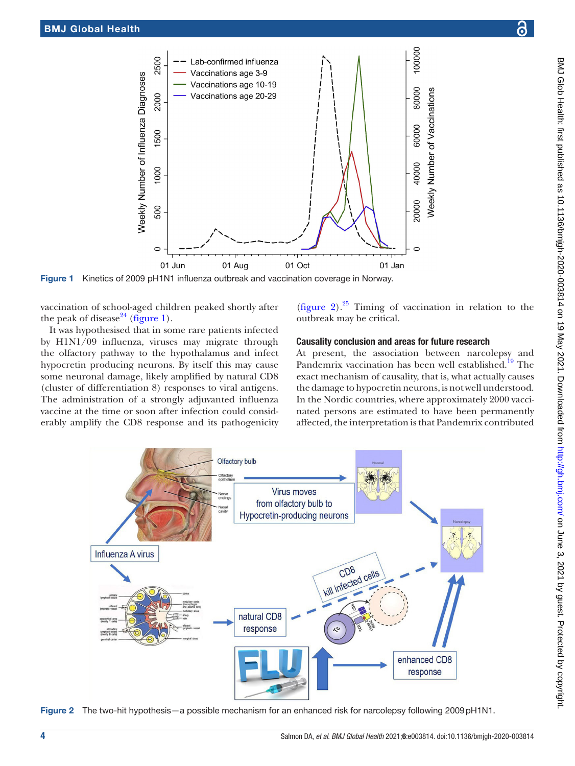

Figure 1 Kinetics of 2009 pH1N1 influenza outbreak and vaccination coverage in Norway.

vaccination of school-aged children peaked shortly after the peak of disease<sup>24</sup> [\(figure](#page-3-0) 1).

It was hypothesised that in some rare patients infected by H1N1/09 influenza, viruses may migrate through the olfactory pathway to the hypothalamus and infect hypocretin producing neurons. By itself this may cause some neuronal damage, likely amplified by natural CD8 (cluster of differentiation 8) responses to viral antigens. The administration of a strongly adjuvanted influenza vaccine at the time or soon after infection could considerably amplify the CD8 response and its pathogenicity

<span id="page-3-0"></span>[\(figure](#page-3-1) 2). $25$  Timing of vaccination in relation to the outbreak may be critical.

#### Causality conclusion and areas for future research

At present, the association between narcolepsy and Pandemrix vaccination has been well established.<sup>19</sup> The exact mechanism of causality, that is, what actually causes the damage to hypocretin neurons, is not well understood. In the Nordic countries, where approximately 2000 vaccinated persons are estimated to have been permanently affected, the interpretation is that Pandemrix contributed



<span id="page-3-1"></span>Figure 2 The two-hit hypothesis—a possible mechanism for an enhanced risk for narcolepsy following 2009pH1N1.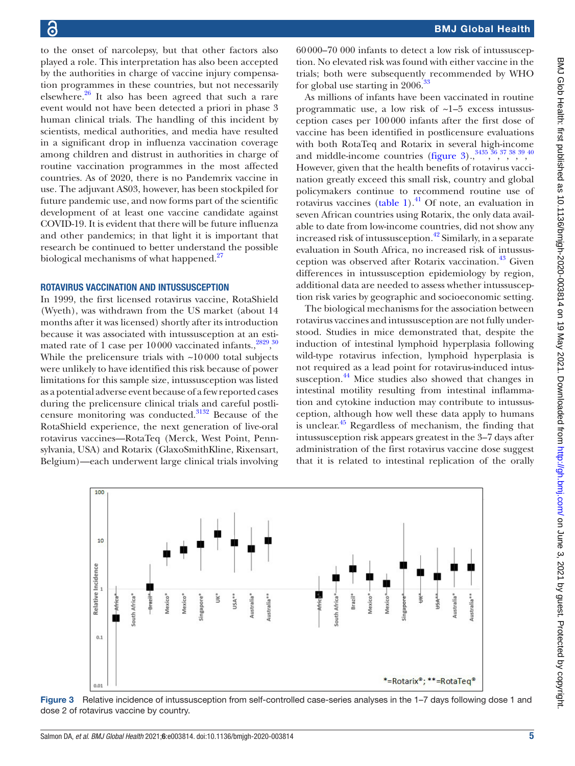to the onset of narcolepsy, but that other factors also played a role. This interpretation has also been accepted by the authorities in charge of vaccine injury compensation programmes in these countries, but not necessarily elsewhere[.26](#page-9-22) It also has been agreed that such a rare event would not have been detected a priori in phase 3 human clinical trials. The handling of this incident by scientists, medical authorities, and media have resulted in a significant drop in influenza vaccination coverage among children and distrust in authorities in charge of routine vaccination programmes in the most affected countries. As of 2020, there is no Pandemrix vaccine in use. The adjuvant AS03, however, has been stockpiled for future pandemic use, and now forms part of the scientific development of at least one vaccine candidate against COVID-19. It is evident that there will be future influenza and other pandemics; in that light it is important that research be continued to better understand the possible biological mechanisms of what happened.<sup>[27](#page-9-23)</sup>

#### ROTAVIRUS VACCINATION AND INTUSSUSCEPTION

In 1999, the first licensed rotavirus vaccine, RotaShield (Wyeth), was withdrawn from the US market (about 14 months after it was licensed) shortly after its introduction because it was associated with intussusception at an estimated rate of 1 case per  $10000$  vaccinated infants.,  $2829,30$  $2829,30$  $2829,30$ While the prelicensure trials with  $\sim$ 10000 total subjects were unlikely to have identified this risk because of power limitations for this sample size, intussusception was listed as a potential adverse event because of a few reported cases during the prelicensure clinical trials and careful postlicensure monitoring was conducted[.31](#page-9-27)[32](#page-9-28) Because of the RotaShield experience, the next generation of live-oral rotavirus vaccines—RotaTeq (Merck, West Point, Pennsylvania, USA) and Rotarix (GlaxoSmithKline, Rixensart, Belgium)—each underwent large clinical trials involving

60000–70 000 infants to detect a low risk of intussusception. No elevated risk was found with either vaccine in the trials; both were subsequently recommended by WHO for global use starting in 2006.[33](#page-9-29)

As millions of infants have been vaccinated in routine programmatic use, a low risk of ~1–5 excess intussusception cases per 100000 infants after the first dose of vaccine has been identified in postlicensure evaluations with both RotaTeq and Rotarix in several high-income and middle-income countries ([figure](#page-4-0)  $3)$ ,  $3^{3435,36,37,38,39,40}$  $3^{3435,36,37,38,39,40}$  $3^{3435,36,37,38,39,40}$  $3^{3435,36,37,38,39,40}$  $3^{3435,36,37,38,39,40}$  $3^{3435,36,37,38,39,40}$  $3^{3435,36,37,38,39,40}$  $3^{3435,36,37,38,39,40}$  $3^{3435,36,37,38,39,40}$  $3^{3435,36,37,38,39,40}$  $3^{3435,36,37,38,39,40}$ However, given that the health benefits of rotavirus vaccination greatly exceed this small risk, country and global policymakers continue to recommend routine use of rotavirus vaccines [\(table](#page-5-0) 1). $^{41}$  $^{41}$  $^{41}$  Of note, an evaluation in seven African countries using Rotarix, the only data available to date from low-income countries, did not show any increased risk of intussusception.<sup>42</sup> Similarly, in a separate evaluation in South Africa, no increased risk of intussusception was observed after Rotarix vaccination.<sup>43</sup> Given differences in intussusception epidemiology by region, additional data are needed to assess whether intussusception risk varies by geographic and socioeconomic setting.

The biological mechanisms for the association between rotavirus vaccines and intussusception are not fully understood. Studies in mice demonstrated that, despite the induction of intestinal lymphoid hyperplasia following wild-type rotavirus infection, lymphoid hyperplasia is not required as a lead point for rotavirus-induced intussusception.<sup>44</sup> Mice studies also showed that changes in intestinal motility resulting from intestinal inflammation and cytokine induction may contribute to intussusception, although how well these data apply to humans is unclear.<sup>45</sup> Regardless of mechanism, the finding that intussusception risk appears greatest in the 3–7 days after administration of the first rotavirus vaccine dose suggest that it is related to intestinal replication of the orally



<span id="page-4-0"></span>Figure 3 Relative incidence of intussusception from self-controlled case-series analyses in the 1–7 days following dose 1 and dose 2 of rotavirus vaccine by country.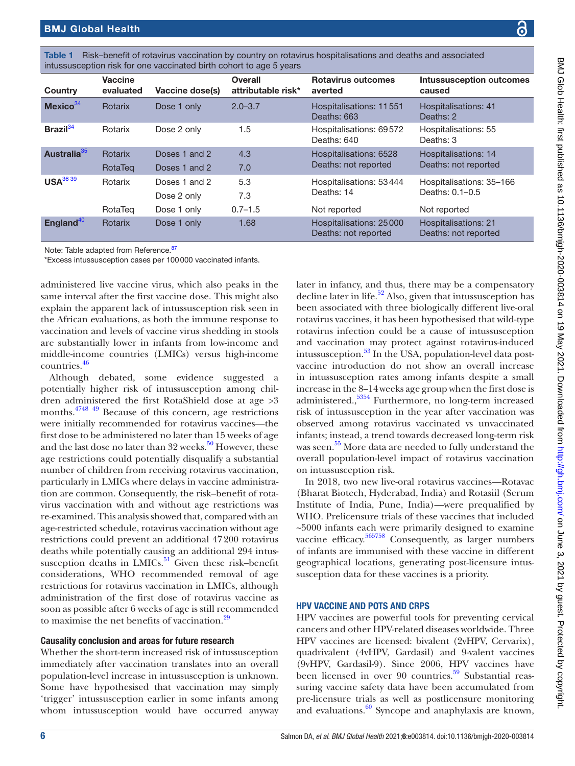| DNI Clob Hont                                                                                                                                                                                                                  |
|--------------------------------------------------------------------------------------------------------------------------------------------------------------------------------------------------------------------------------|
|                                                                                                                                                                                                                                |
|                                                                                                                                                                                                                                |
|                                                                                                                                                                                                                                |
| $\frac{1}{2}$                                                                                                                                                                                                                  |
|                                                                                                                                                                                                                                |
|                                                                                                                                                                                                                                |
|                                                                                                                                                                                                                                |
|                                                                                                                                                                                                                                |
|                                                                                                                                                                                                                                |
|                                                                                                                                                                                                                                |
| i nihilahah ae                                                                                                                                                                                                                 |
|                                                                                                                                                                                                                                |
|                                                                                                                                                                                                                                |
|                                                                                                                                                                                                                                |
|                                                                                                                                                                                                                                |
|                                                                                                                                                                                                                                |
|                                                                                                                                                                                                                                |
|                                                                                                                                                                                                                                |
|                                                                                                                                                                                                                                |
|                                                                                                                                                                                                                                |
|                                                                                                                                                                                                                                |
|                                                                                                                                                                                                                                |
|                                                                                                                                                                                                                                |
|                                                                                                                                                                                                                                |
|                                                                                                                                                                                                                                |
|                                                                                                                                                                                                                                |
|                                                                                                                                                                                                                                |
|                                                                                                                                                                                                                                |
| 11 Deliver Property State Property CO2O DODG Property Co2O Property Delivery Pro                                                                                                                                               |
|                                                                                                                                                                                                                                |
|                                                                                                                                                                                                                                |
|                                                                                                                                                                                                                                |
|                                                                                                                                                                                                                                |
|                                                                                                                                                                                                                                |
|                                                                                                                                                                                                                                |
|                                                                                                                                                                                                                                |
|                                                                                                                                                                                                                                |
|                                                                                                                                                                                                                                |
|                                                                                                                                                                                                                                |
|                                                                                                                                                                                                                                |
|                                                                                                                                                                                                                                |
|                                                                                                                                                                                                                                |
|                                                                                                                                                                                                                                |
|                                                                                                                                                                                                                                |
|                                                                                                                                                                                                                                |
|                                                                                                                                                                                                                                |
|                                                                                                                                                                                                                                |
|                                                                                                                                                                                                                                |
|                                                                                                                                                                                                                                |
|                                                                                                                                                                                                                                |
| bold along the state of the state of the state of the state of the state of the state of the state of the state of the state of the state of the state of the state of the state of the state of the state of the state of the |
|                                                                                                                                                                                                                                |
|                                                                                                                                                                                                                                |
|                                                                                                                                                                                                                                |
|                                                                                                                                                                                                                                |
|                                                                                                                                                                                                                                |
|                                                                                                                                                                                                                                |
|                                                                                                                                                                                                                                |
|                                                                                                                                                                                                                                |
|                                                                                                                                                                                                                                |
|                                                                                                                                                                                                                                |
|                                                                                                                                                                                                                                |
|                                                                                                                                                                                                                                |
|                                                                                                                                                                                                                                |
|                                                                                                                                                                                                                                |
| - ICH - 1                                                                                                                                                                                                                      |
|                                                                                                                                                                                                                                |
|                                                                                                                                                                                                                                |
|                                                                                                                                                                                                                                |
|                                                                                                                                                                                                                                |
|                                                                                                                                                                                                                                |
|                                                                                                                                                                                                                                |
|                                                                                                                                                                                                                                |
|                                                                                                                                                                                                                                |
|                                                                                                                                                                                                                                |
|                                                                                                                                                                                                                                |
|                                                                                                                                                                                                                                |
|                                                                                                                                                                                                                                |
|                                                                                                                                                                                                                                |
|                                                                                                                                                                                                                                |

<span id="page-5-0"></span>

|  | Table 1 Risk-benefit of rotavirus vaccination by country on rotavirus hospitalisations and deaths and associated |  |
|--|------------------------------------------------------------------------------------------------------------------|--|
|  | intussusception risk for one vaccinated birth cohort to age 5 years                                              |  |

| Country                 | <b>Vaccine</b><br>evaluated | Vaccine dose(s)                             | <b>Overall</b><br>attributable risk* | <b>Rotavirus outcomes</b><br>averted                  | <b>Intussusception outcomes</b><br>caused                   |
|-------------------------|-----------------------------|---------------------------------------------|--------------------------------------|-------------------------------------------------------|-------------------------------------------------------------|
| Mexico <sup>34</sup>    | Rotarix                     | Dose 1 only                                 | $2.0 - 3.7$                          | Hospitalisations: 11551<br>Deaths: 663                | Hospitalisations: 41<br>Deaths: 2                           |
| Brazil $34$             | Rotarix                     | Dose 2 only                                 | 1.5                                  | Hospitalisations: 69572<br>Deaths: 640                | Hospitalisations: 55<br>Deaths: 3                           |
| Australia <sup>35</sup> | Rotarix<br>RotaTeg          | Doses 1 and 2<br>Doses 1 and 2              | 4.3<br>7.0                           | Hospitalisations: 6528<br>Deaths: not reported        | <b>Hospitalisations: 14</b><br>Deaths: not reported         |
| USA <sup>36 39</sup>    | Rotarix<br>RotaTeg          | Doses 1 and 2<br>Dose 2 only<br>Dose 1 only | 5.3<br>7.3<br>$0.7 - 1.5$            | Hospitalisations: 53444<br>Deaths: 14<br>Not reported | Hospitalisations: 35-166<br>Deaths: 0.1-0.5<br>Not reported |
| England <sup>40</sup>   | <b>Rotarix</b>              | Dose 1 only                                 | 1.68                                 | Hospitalisations: 25000<br>Deaths: not reported       | <b>Hospitalisations: 21</b><br>Deaths: not reported         |

Note: Table adapted from Reference.<sup>[87](#page-10-4)</sup>

\*Excess intussusception cases per 100000 vaccinated infants.

administered live vaccine virus, which also peaks in the same interval after the first vaccine dose. This might also explain the apparent lack of intussusception risk seen in the African evaluations, as both the immune response to vaccination and levels of vaccine virus shedding in stools are substantially lower in infants from low-income and middle-income countries (LMICs) versus high-income countries[.46](#page-9-42)

Although debated, some evidence suggested a potentially higher risk of intussusception among children administered the first RotaShield dose at age >3 months.[47](#page-9-43)[48](#page-9-44) [49](#page-9-45) Because of this concern, age restrictions were initially recommended for rotavirus vaccines—the first dose to be administered no later than 15 weeks of age and the last dose no later than 32 weeks.<sup>[50](#page-9-46)</sup> However, these age restrictions could potentially disqualify a substantial number of children from receiving rotavirus vaccination, particularly in LMICs where delays in vaccine administration are common. Consequently, the risk–benefit of rotavirus vaccination with and without age restrictions was re-examined. This analysis showed that, compared with an age-restricted schedule, rotavirus vaccination without age restrictions could prevent an additional 47200 rotavirus deaths while potentially causing an additional 294 intussusception deaths in LMICs. $51$  Given these risk–benefit considerations, WHO recommended removal of age restrictions for rotavirus vaccination in LMICs, although administration of the first dose of rotavirus vaccine as soon as possible after 6 weeks of age is still recommended to maximise the net benefits of vaccination.<sup>[29](#page-9-25)</sup>

#### Causality conclusion and areas for future research

Whether the short-term increased risk of intussusception immediately after vaccination translates into an overall population-level increase in intussusception is unknown. Some have hypothesised that vaccination may simply 'trigger' intussusception earlier in some infants among whom intussusception would have occurred anyway

later in infancy, and thus, there may be a compensatory decline later in life.<sup>52</sup> Also, given that intussusception has been associated with three biologically different live-oral rotavirus vaccines, it has been hypothesised that wild-type rotavirus infection could be a cause of intussusception and vaccination may protect against rotavirus-induced intussusception. $53$  In the USA, population-level data postvaccine introduction do not show an overall increase in intussusception rates among infants despite a small increase in the 8–14weeks age group when the first dose is administered.,[53](#page-9-49)[54](#page-9-50) Furthermore, no long-term increased risk of intussusception in the year after vaccination was observed among rotavirus vaccinated vs unvaccinated infants; instead, a trend towards decreased long-term risk was seen. $^{55}$  $^{55}$  $^{55}$  More data are needed to fully understand the overall population-level impact of rotavirus vaccination on intussusception risk.

In 2018, two new live-oral rotavirus vaccines—Rotavac (Bharat Biotech, Hyderabad, India) and Rotasiil (Serum Institute of India, Pune, India)—were prequalified by WHO. Prelicensure trials of these vaccines that included ~5000 infants each were primarily designed to examine vaccine efficacy[.56](#page-9-52)[57](#page-10-0)[58](#page-10-1) Consequently, as larger numbers of infants are immunised with these vaccine in different geographical locations, generating post-licensure intussusception data for these vaccines is a priority.

#### HPV VACCINE AND POTS AND CRPS

HPV vaccines are powerful tools for preventing cervical cancers and other HPV-related diseases worldwide. Three HPV vaccines are licensed: bivalent (2vHPV, Cervarix), quadrivalent (4vHPV, Gardasil) and 9-valent vaccines (9vHPV, Gardasil-9). Since 2006, HPV vaccines have been licensed in over 90 countries.<sup>59</sup> Substantial reassuring vaccine safety data have been accumulated from pre-licensure trials as well as postlicensure monitoring and evaluations. $\frac{60}{9}$  $\frac{60}{9}$  $\frac{60}{9}$  Syncope and anaphylaxis are known,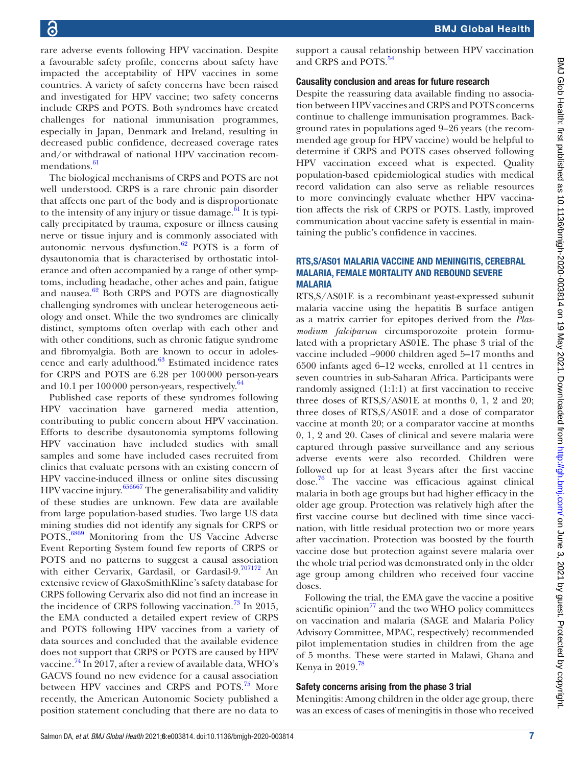rare adverse events following HPV vaccination. Despite a favourable safety profile, concerns about safety have impacted the acceptability of HPV vaccines in some countries. A variety of safety concerns have been raised and investigated for HPV vaccine; two safety concerns include CRPS and POTS. Both syndromes have created challenges for national immunisation programmes, especially in Japan, Denmark and Ireland, resulting in decreased public confidence, decreased coverage rates and/or withdrawal of national HPV vaccination recom-mendations.<sup>[61](#page-10-5)</sup>

The biological mechanisms of CRPS and POTS are not well understood. CRPS is a rare chronic pain disorder that affects one part of the body and is disproportionate to the intensity of any injury or tissue damage. $61$  It is typically precipitated by trauma, exposure or illness causing nerve or tissue injury and is commonly associated with autonomic nervous dysfunction. $62$  POTS is a form of dysautonomia that is characterised by orthostatic intolerance and often accompanied by a range of other symptoms, including headache, other aches and pain, fatigue and nausea. $62$  Both CRPS and POTS are diagnostically challenging syndromes with unclear heterogeneous aetiology and onset. While the two syndromes are clinically distinct, symptoms often overlap with each other and with other conditions, such as chronic fatigue syndrome and fibromyalgia. Both are known to occur in adolescence and early adulthood.[63](#page-10-7) Estimated incidence rates for CRPS and POTS are 6.28 per 100000 person-years and 10.1 per 100 000 person-years, respectively.<sup>[64](#page-10-8)</sup>

Published case reports of these syndromes following HPV vaccination have garnered media attention, contributing to public concern about HPV vaccination. Efforts to describe dysautonomia symptoms following HPV vaccination have included studies with small samples and some have included cases recruited from clinics that evaluate persons with an existing concern of HPV vaccine-induced illness or online sites discussing HPV vaccine injury.[65](#page-10-9)[66](#page-10-10)[67](#page-10-11) The generalisability and validity of these studies are unknown. Few data are available from large population-based studies. Two large US data mining studies did not identify any signals for CRPS or POTS.,<sup>[68](#page-10-12)[69](#page-10-13)</sup> Monitoring from the US Vaccine Adverse Event Reporting System found few reports of CRPS or POTS and no patterns to suggest a causal association with either Cervarix, Gardasil, or Gardasil-9.[70](#page-10-14)[71](#page-10-15)[72](#page-10-16) An extensive review of GlaxoSmithKline's safety database for CRPS following Cervarix also did not find an increase in the incidence of CRPS following vaccination.<sup>73</sup> In 2015, the EMA conducted a detailed expert review of CRPS and POTS following HPV vaccines from a variety of data sources and concluded that the available evidence does not support that CRPS or POTS are caused by HPV vaccine.<sup>74</sup> In 2017, after a review of available data, WHO's GACVS found no new evidence for a causal association between HPV vaccines and CRPS and POTS.<sup>75</sup> More recently, the American Autonomic Society published a position statement concluding that there are no data to

support a causal relationship between HPV vaccination and CRPS and POTS.<sup>[54](#page-9-50)</sup>

#### Causality conclusion and areas for future research

Despite the reassuring data available finding no association between HPV vaccines and CRPS and POTS concerns continue to challenge immunisation programmes. Background rates in populations aged 9–26 years (the recommended age group for HPV vaccine) would be helpful to determine if CRPS and POTS cases observed following HPV vaccination exceed what is expected. Quality population-based epidemiological studies with medical record validation can also serve as reliable resources to more convincingly evaluate whether HPV vaccination affects the risk of CRPS or POTS. Lastly, improved communication about vaccine safety is essential in maintaining the public's confidence in vaccines.

#### RTS,S/AS01 MALARIA VACCINE AND MENINGITIS, CEREBRAL MALARIA, FEMALE MORTALITY AND REBOUND SEVERE MALARIA

RTS,S/AS01E is a recombinant yeast-expressed subunit malaria vaccine using the hepatitis B surface antigen as a matrix carrier for epitopes derived from the *Plasmodium falciparum* circumsporozoite protein formulated with a proprietary AS01E. The phase 3 trial of the vaccine included ~9000 children aged 5–17 months and 6500 infants aged 6–12 weeks, enrolled at 11 centres in seven countries in sub-Saharan Africa. Participants were randomly assigned (1:1:1) at first vaccination to receive three doses of RTS,S/AS01E at months 0, 1, 2 and 20; three doses of RTS,S/AS01E and a dose of comparator vaccine at month 20; or a comparator vaccine at months 0, 1, 2 and 20. Cases of clinical and severe malaria were captured through passive surveillance and any serious adverse events were also recorded. Children were followed up for at least 3years after the first vaccine dose[.76](#page-10-20) The vaccine was efficacious against clinical malaria in both age groups but had higher efficacy in the older age group. Protection was relatively high after the first vaccine course but declined with time since vaccination, with little residual protection two or more years after vaccination. Protection was boosted by the fourth vaccine dose but protection against severe malaria over the whole trial period was demonstrated only in the older age group among children who received four vaccine doses.

Following the trial, the EMA gave the vaccine a positive scientific opinion $^{77}$  and the two WHO policy committees on vaccination and malaria (SAGE and Malaria Policy Advisory Committee, MPAC, respectively) recommended pilot implementation studies in children from the age of 5 months. These were started in Malawi, Ghana and Kenya in 2019.<sup>[78](#page-10-22)</sup>

#### Safety concerns arising from the phase 3 trial

Meningitis: Among children in the older age group, there was an excess of cases of meningitis in those who received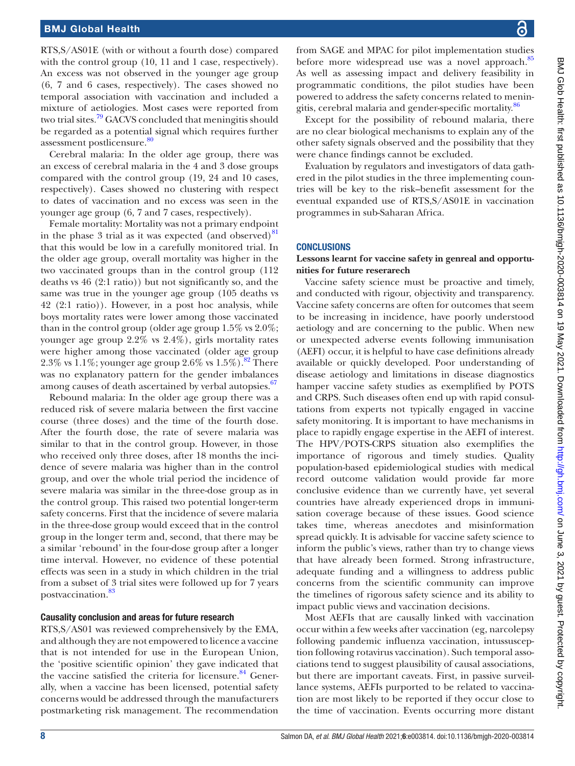RTS,S/AS01E (with or without a fourth dose) compared with the control group (10, 11 and 1 case, respectively). An excess was not observed in the younger age group (6, 7 and 6 cases, respectively). The cases showed no temporal association with vaccination and included a mixture of aetiologies. Most cases were reported from two trial sites.<sup>79</sup> GACVS concluded that meningitis should be regarded as a potential signal which requires further assessment postlicensure.<sup>80</sup>

Cerebral malaria: In the older age group, there was an excess of cerebral malaria in the 4 and 3 dose groups compared with the control group (19, 24 and 10 cases, respectively). Cases showed no clustering with respect to dates of vaccination and no excess was seen in the younger age group (6, 7 and 7 cases, respectively).

Female mortality: Mortality was not a primary endpoint in the phase 3 trial as it was expected (and observed) $81$ that this would be low in a carefully monitored trial. In the older age group, overall mortality was higher in the two vaccinated groups than in the control group (112 deaths vs 46 (2:1 ratio)) but not significantly so, and the same was true in the younger age group (105 deaths vs 42 (2:1 ratio)). However, in a post hoc analysis, while boys mortality rates were lower among those vaccinated than in the control group (older age group 1.5% vs 2.0%; younger age group 2.2% vs 2.4%), girls mortality rates were higher among those vaccinated (older age group 2.3% vs 1.1%; younger age group 2.6% vs  $1.5\%$ ).<sup>[82](#page-10-26)</sup> There was no explanatory pattern for the gender imbalances among causes of death ascertained by verbal autopsies.<sup>67</sup>

Rebound malaria: In the older age group there was a reduced risk of severe malaria between the first vaccine course (three doses) and the time of the fourth dose. After the fourth dose, the rate of severe malaria was similar to that in the control group. However, in those who received only three doses, after 18 months the incidence of severe malaria was higher than in the control group, and over the whole trial period the incidence of severe malaria was similar in the three-dose group as in the control group. This raised two potential longer-term safety concerns. First that the incidence of severe malaria in the three-dose group would exceed that in the control group in the longer term and, second, that there may be a similar 'rebound' in the four-dose group after a longer time interval. However, no evidence of these potential effects was seen in a study in which children in the trial from a subset of 3 trial sites were followed up for 7 years postvaccination.<sup>83</sup>

#### Causality conclusion and areas for future research

RTS,S/AS01 was reviewed comprehensively by the EMA, and although they are not empowered to licence a vaccine that is not intended for use in the European Union, the 'positive scientific opinion' they gave indicated that the vaccine satisfied the criteria for licensure. $84$  Generally, when a vaccine has been licensed, potential safety concerns would be addressed through the manufacturers postmarketing risk management. The recommendation

from SAGE and MPAC for pilot implementation studies before more widespread use was a novel approach.<sup>[85](#page-10-29)</sup> As well as assessing impact and delivery feasibility in programmatic conditions, the pilot studies have been powered to address the safety concerns related to menin-gitis, cerebral malaria and gender-specific mortality.<sup>[86](#page-10-30)</sup>

Except for the possibility of rebound malaria, there are no clear biological mechanisms to explain any of the other safety signals observed and the possibility that they were chance findings cannot be excluded.

Evaluation by regulators and investigators of data gathered in the pilot studies in the three implementing countries will be key to the risk–benefit assessment for the eventual expanded use of RTS,S/AS01E in vaccination programmes in sub-Saharan Africa.

#### **CONCLUSIONS**

#### **Lessons learnt for vaccine safety in genreal and opportunities for future reserarech**

Vaccine safety science must be proactive and timely, and conducted with rigour, objectivity and transparency. Vaccine safety concerns are often for outcomes that seem to be increasing in incidence, have poorly understood aetiology and are concerning to the public. When new or unexpected adverse events following immunisation (AEFI) occur, it is helpful to have case definitions already available or quickly developed. Poor understanding of disease aetiology and limitations in disease diagnostics hamper vaccine safety studies as exemplified by POTS and CRPS. Such diseases often end up with rapid consultations from experts not typically engaged in vaccine safety monitoring. It is important to have mechanisms in place to rapidly engage expertise in the AEFI of interest. The HPV/POTS-CRPS situation also exemplifies the importance of rigorous and timely studies. Quality population-based epidemiological studies with medical record outcome validation would provide far more conclusive evidence than we currently have, yet several countries have already experienced drops in immunisation coverage because of these issues. Good science takes time, whereas anecdotes and misinformation spread quickly. It is advisable for vaccine safety science to inform the public's views, rather than try to change views that have already been formed. Strong infrastructure, adequate funding and a willingness to address public concerns from the scientific community can improve the timelines of rigorous safety science and its ability to impact public views and vaccination decisions.

Most AEFIs that are causally linked with vaccination occur within a few weeks after vaccination (eg, narcolepsy following pandemic influenza vaccination, intussusception following rotavirus vaccination). Such temporal associations tend to suggest plausibility of causal associations, but there are important caveats. First, in passive surveillance systems, AEFIs purported to be related to vaccination are most likely to be reported if they occur close to the time of vaccination. Events occurring more distant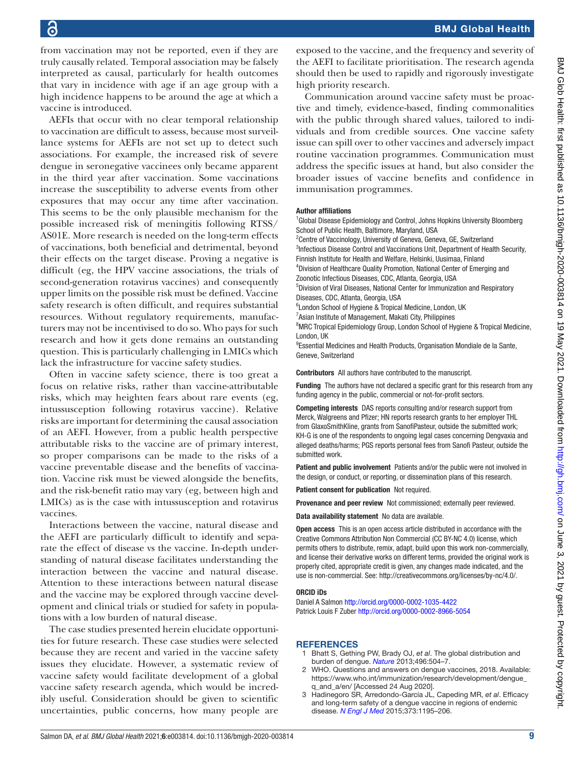from vaccination may not be reported, even if they are truly causally related. Temporal association may be falsely interpreted as causal, particularly for health outcomes that vary in incidence with age if an age group with a high incidence happens to be around the age at which a vaccine is introduced.

AEFIs that occur with no clear temporal relationship to vaccination are difficult to assess, because most surveillance systems for AEFIs are not set up to detect such associations. For example, the increased risk of severe dengue in seronegative vaccinees only became apparent in the third year after vaccination. Some vaccinations increase the susceptibility to adverse events from other exposures that may occur any time after vaccination. This seems to be the only plausible mechanism for the possible increased risk of meningitis following RTSS/ AS01E. More research is needed on the long-term effects of vaccinations, both beneficial and detrimental, beyond their effects on the target disease. Proving a negative is difficult (eg, the HPV vaccine associations, the trials of second-generation rotavirus vaccines) and consequently upper limits on the possible risk must be defined. Vaccine safety research is often difficult, and requires substantial resources. Without regulatory requirements, manufacturers may not be incentivised to do so. Who pays for such research and how it gets done remains an outstanding question. This is particularly challenging in LMICs which lack the infrastructure for vaccine safety studies.

Often in vaccine safety science, there is too great a focus on relative risks, rather than vaccine-attributable risks, which may heighten fears about rare events (eg, intussusception following rotavirus vaccine). Relative risks are important for determining the causal association of an AEFI. However, from a public health perspective attributable risks to the vaccine are of primary interest, so proper comparisons can be made to the risks of a vaccine preventable disease and the benefits of vaccination. Vaccine risk must be viewed alongside the benefits, and the risk-benefit ratio may vary (eg, between high and LMICs) as is the case with intussusception and rotavirus vaccines.

Interactions between the vaccine, natural disease and the AEFI are particularly difficult to identify and separate the effect of disease vs the vaccine. In-depth understanding of natural disease facilitates understanding the interaction between the vaccine and natural disease. Attention to these interactions between natural disease and the vaccine may be explored through vaccine development and clinical trials or studied for safety in populations with a low burden of natural disease.

The case studies presented herein elucidate opportunities for future research. These case studies were selected because they are recent and varied in the vaccine safety issues they elucidate. However, a systematic review of vaccine safety would facilitate development of a global vaccine safety research agenda, which would be incredibly useful. Consideration should be given to scientific uncertainties, public concerns, how many people are

exposed to the vaccine, and the frequency and severity of the AEFI to facilitate prioritisation. The research agenda should then be used to rapidly and rigorously investigate high priority research.

Communication around vaccine safety must be proactive and timely, evidence-based, finding commonalities with the public through shared values, tailored to individuals and from credible sources. One vaccine safety issue can spill over to other vaccines and adversely impact routine vaccination programmes. Communication must address the specific issues at hand, but also consider the broader issues of vaccine benefits and confidence in immunisation programmes.

#### Author affiliations

<sup>1</sup>Global Disease Epidemiology and Control, Johns Hopkins University Bloomberg School of Public Health, Baltimore, Maryland, USA

<sup>2</sup> Centre of Vaccinology, University of Geneva, Geneva, GE, Switzerland <sup>3</sup>Infectious Disease Control and Vaccinations Unit, Department of Health Security, Finnish Institute for Health and Welfare, Helsinki, Uusimaa, Finland

4 Division of Healthcare Quality Promotion, National Center of Emerging and Zoonotic Infectious Diseases, CDC, Atlanta, Georgia, USA

5 Division of Viral Diseases, National Center for Immunization and Respiratory Diseases, CDC, Atlanta, Georgia, USA

<sup>6</sup> London School of Hygiene & Tropical Medicine, London, UK

<sup>7</sup> Asian Institute of Management, Makati City, Philippines

<sup>8</sup>MRC Tropical Epidemiology Group, London School of Hygiene & Tropical Medicine, London, UK

<sup>9</sup>Essential Medicines and Health Products, Organisation Mondiale de la Sante, Geneve, Switzerland

Contributors All authors have contributed to the manuscript.

Funding The authors have not declared a specific grant for this research from any funding agency in the public, commercial or not-for-profit sectors.

Competing interests DAS reports consulting and/or research support from Merck, Walgreens and Pfizer; HN reports research grants to her employer THL from GlaxoSmithKline, grants from SanofiPasteur, outside the submitted work; KH-G is one of the respondents to ongoing legal cases concerning Dengvaxia and alleged deaths/harms; PGS reports personal fees from Sanofi Pasteur, outside the submitted work.

Patient and public involvement Patients and/or the public were not involved in the design, or conduct, or reporting, or dissemination plans of this research.

Patient consent for publication Not required.

Provenance and peer review Not commissioned; externally peer reviewed.

Data availability statement No data are available.

Open access This is an open access article distributed in accordance with the Creative Commons Attribution Non Commercial (CC BY-NC 4.0) license, which permits others to distribute, remix, adapt, build upon this work non-commercially, and license their derivative works on different terms, provided the original work is properly cited, appropriate credit is given, any changes made indicated, and the use is non-commercial. See:<http://creativecommons.org/licenses/by-nc/4.0/>.

#### ORCID iDs

Daniel A Salmon<http://orcid.org/0000-0002-1035-4422> Patrick Louis F Zuber<http://orcid.org/0000-0002-8966-5054>

#### **REFERENCES**

- <span id="page-8-0"></span>1 Bhatt S, Gething PW, Brady OJ, *et al*. The global distribution and burden of dengue. *[Nature](http://dx.doi.org/10.1038/nature12060)* 2013;496:504–7.
- <span id="page-8-1"></span>2 WHO. Questions and answers on dengue vaccines, 2018. Available: [https://www.who.int/immunization/research/development/dengue\\_](https://www.who.int/immunization/research/development/dengue_q_and_a/en/) [q\\_and\\_a/en/](https://www.who.int/immunization/research/development/dengue_q_and_a/en/) [Accessed 24 Aug 2020].
- <span id="page-8-2"></span>3 Hadinegoro SR, Arredondo-García JL, Capeding MR, *et al*. Efficacy and long-term safety of a dengue vaccine in regions of endemic disease. *[N Engl J Med](http://dx.doi.org/10.1056/NEJMoa1506223)* 2015;373:1195–206.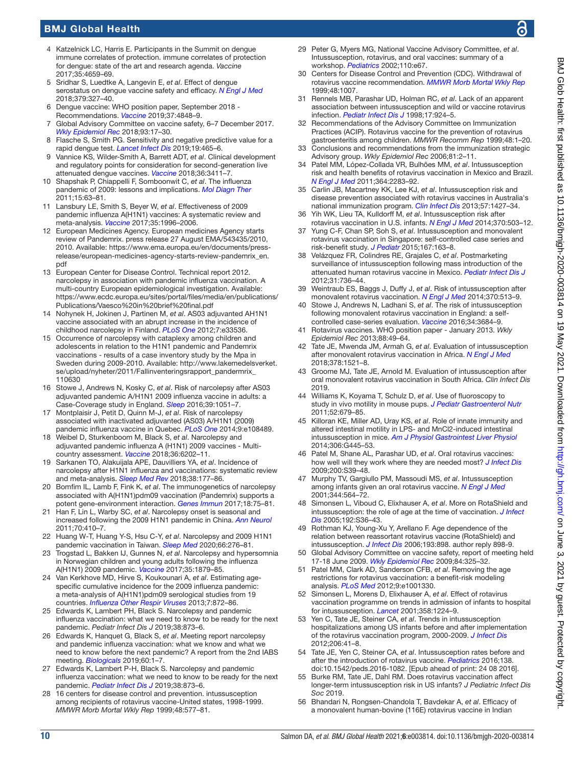## BMJ Global Health

- <span id="page-9-0"></span>4 Katzelnick LC, Harris E. Participants in the Summit on dengue immune correlates of protection. immune correlates of protection for dengue: state of the art and research agenda. *Vaccine* 2017;35:4659–69.
- <span id="page-9-1"></span>5 Sridhar S, Luedtke A, Langevin E, *et al*. Effect of dengue serostatus on dengue vaccine safety and efficacy. *[N Engl J Med](http://dx.doi.org/10.1056/NEJMoa1800820)* 2018;379:327–40.
- <span id="page-9-2"></span>6 Dengue vaccine: WHO position paper, September 2018 - Recommendations. *[Vaccine](http://dx.doi.org/10.1016/j.vaccine.2018.09.063)* 2019;37:4848–9.
- <span id="page-9-3"></span>7 Global Advisory Committee on vaccine safety, 6–7 December 2017. *[Wkly Epidemiol Rec](http://www.ncbi.nlm.nih.gov/pubmed/29350500)* 2018;93:17–30.
- <span id="page-9-4"></span>8 Flasche S, Smith PG. Sensitivity and negative predictive value for a rapid dengue test. *[Lancet Infect Dis](http://dx.doi.org/10.1016/S1473-3099(19)30167-7)* 2019;19:465–6.
- <span id="page-9-5"></span>9 Vannice KS, Wilder-Smith A, Barrett ADT, *et al*. Clinical development and regulatory points for consideration for second-generation live attenuated dengue vaccines. *[Vaccine](http://dx.doi.org/10.1016/j.vaccine.2018.02.062)* 2018;36:3411–7.
- <span id="page-9-6"></span>10 Shapshak P, Chiappelli F, Somboonwit C, *et al*. The influenza pandemic of 2009: lessons and implications. *[Mol Diagn Ther](http://dx.doi.org/10.1007/BF03256397)* 2011;15:63–81.
- <span id="page-9-7"></span>11 Lansbury LE, Smith S, Beyer W, *et al*. Effectiveness of 2009 pandemic influenza A(H1N1) vaccines: A systematic review and meta-analysis. *[Vaccine](http://dx.doi.org/10.1016/j.vaccine.2017.02.059)* 2017;35:1996–2006.
- <span id="page-9-8"></span>12 European Medicines Agency. European medicines Agency starts review of Pandemrix. press release 27 August EMA/543435/2010, 2010. Available: [https://www.ema.europa.eu/en/documents/press](https://www.ema.europa.eu/en/documents/press-release/european-medicines-agency-starts-review-pandemrix_en.pdf)[release/european-medicines-agency-starts-review-pandemrix\\_en.](https://www.ema.europa.eu/en/documents/press-release/european-medicines-agency-starts-review-pandemrix_en.pdf) [pdf](https://www.ema.europa.eu/en/documents/press-release/european-medicines-agency-starts-review-pandemrix_en.pdf)
- <span id="page-9-9"></span>13 European Center for Disease Control. Technical report 2012. narcolepsy in association with pandemic influenza vaccination. A multi-country European epidemiological investigation. Available: [https://www.ecdc.europa.eu/sites/portal/files/media/en/publications/](https://www.ecdc.europa.eu/sites/portal/files/media/en/publications/Publications/Vaesco%20in%20brief%20final.pdf) [Publications/Vaesco%20in%20brief%20final.pdf](https://www.ecdc.europa.eu/sites/portal/files/media/en/publications/Publications/Vaesco%20in%20brief%20final.pdf)
- <span id="page-9-10"></span>14 Nohynek H, Jokinen J, Partinen M, *et al*. AS03 adjuvanted AH1N1 vaccine associated with an abrupt increase in the incidence of childhood narcolepsy in Finland. *[PLoS One](http://dx.doi.org/10.1371/journal.pone.0033536)* 2012;7:e33536.
- <span id="page-9-11"></span>15 Occurrence of narcolepsy with cataplexy among children and adolescents in relation to the H1N1 pandemic and Pandemrix vaccinations ‐ results of a case inventory study by the Mpa in Sweden during 2009‐2010. Available: [http://www.lakemedelsverket.](http://www.lakemedelsverket.se/upload/nyheter/2011/Fallinventeringsrapport_pandermrix_110630) [se/upload/nyheter/2011/Fallinventeringsrapport\\_pandermrix\\_](http://www.lakemedelsverket.se/upload/nyheter/2011/Fallinventeringsrapport_pandermrix_110630) [110630](http://www.lakemedelsverket.se/upload/nyheter/2011/Fallinventeringsrapport_pandermrix_110630)
- <span id="page-9-12"></span>16 Stowe J, Andrews N, Kosky C, *et al*. Risk of narcolepsy after AS03 adjuvanted pandemic A/H1N1 2009 influenza vaccine in adults: a Case-Coverage study in England. *[Sleep](http://dx.doi.org/10.5665/sleep.5752)* 2016;39:1051–7.
- <span id="page-9-13"></span>17 Montplaisir J, Petit D, Quinn M-J, *et al*. Risk of narcolepsy associated with inactivated adjuvanted (AS03) A/H1N1 (2009) pandemic influenza vaccine in Quebec. *[PLoS One](http://dx.doi.org/10.1371/journal.pone.0108489)* 2014;9:e108489.
- <span id="page-9-14"></span>18 Weibel D, Sturkenboom M, Black S, *et al*. Narcolepsy and adjuvanted pandemic influenza A (H1N1) 2009 vaccines - Multicountry assessment. *[Vaccine](http://dx.doi.org/10.1016/j.vaccine.2018.08.008)* 2018;36:6202–11.
- <span id="page-9-15"></span>19 Sarkanen TO, Alakuijala APE, Dauvilliers YA, *et al*. Incidence of narcolepsy after H1N1 influenza and vaccinations: systematic review and meta-analysis. *[Sleep Med Rev](http://dx.doi.org/10.1016/j.smrv.2017.06.006)* 2018;38:177–86.
- <span id="page-9-16"></span>20 Bomfim IL, Lamb F, Fink K, *et al*. The immunogenetics of narcolepsy associated with A(H1N1)pdm09 vaccination (Pandemrix) supports a potent gene-environment interaction. *[Genes Immun](http://dx.doi.org/10.1038/gene.2017.1)* 2017;18:75–81.
- <span id="page-9-17"></span>21 Han F, Lin L, Warby SC, *et al*. Narcolepsy onset is seasonal and increased following the 2009 H1N1 pandemic in China. *[Ann Neurol](http://dx.doi.org/10.1002/ana.22587)* 2011;70:410–7.
- <span id="page-9-18"></span>22 Huang W-T, Huang Y-S, Hsu C-Y, *et al*. Narcolepsy and 2009 H1N1 pandemic vaccination in Taiwan. *[Sleep Med](http://dx.doi.org/10.1016/j.sleep.2018.10.036)* 2020;66:276–81.
- <span id="page-9-19"></span>23 Trogstad L, Bakken IJ, Gunnes N, *et al*. Narcolepsy and hypersomnia in Norwegian children and young adults following the influenza A(H1N1) 2009 pandemic. *[Vaccine](http://dx.doi.org/10.1016/j.vaccine.2017.02.053)* 2017;35:1879–85.
- <span id="page-9-20"></span>24 Van Kerkhove MD, Hirve S, Koukounari A, *et al*. Estimating agespecific cumulative incidence for the 2009 influenza pandemic: a meta-analysis of A(H1N1)pdm09 serological studies from 19 countries. *[Influenza Other Respir Viruses](http://dx.doi.org/10.1111/irv.12074)* 2013;7:872–86.
- <span id="page-9-21"></span>25 Edwards K, Lambert PH, Black S. Narcolepsy and pandemic influenza vaccination: what we need to know to be ready for the next pandemic. *Pediatr Infect Dis J* 2019;38:873–6.
- <span id="page-9-22"></span>26 Edwards K, Hanquet G, Black S, *et al*. Meeting report narcolepsy and pandemic influenza vaccination: what we know and what we need to know before the next pandemic? A report from the 2nd IABS meeting. *[Biologicals](http://dx.doi.org/10.1016/j.biologicals.2019.05.005)* 2019;60:1–7.
- <span id="page-9-23"></span>27 Edwards K, Lambert P-H, Black S. Narcolepsy and pandemic influenza vaccination: what we need to know to be ready for the next pandemic. *[Pediatr Infect Dis J](http://dx.doi.org/10.1097/INF.0000000000002398)* 2019;38:873–6.
- <span id="page-9-24"></span>28 16 centers for disease control and prevention. intussusception among recipients of rotavirus vaccine-United states, 1998-1999. *MMWR Morb Mortal Wkly Rep* 1999;48:577–81.
- <span id="page-9-25"></span>29 Peter G, Myers MG, National Vaccine Advisory Committee, *et al*. Intussusception, rotavirus, and oral vaccines: summary of a workshop. *[Pediatrics](http://dx.doi.org/10.1542/peds.110.6.e67)* 2002;110:e67.
- <span id="page-9-26"></span>30 Centers for Disease Control and Prevention (CDC). Withdrawal of rotavirus vaccine recommendation. *[MMWR Morb Mortal Wkly Rep](http://www.ncbi.nlm.nih.gov/pubmed/10577495)* 1999;48:1007.
- <span id="page-9-27"></span>31 Rennels MB, Parashar UD, Holman RC, *et al*. Lack of an apparent association between intussusception and wild or vaccine rotavirus infection. *[Pediatr Infect Dis J](http://dx.doi.org/10.1097/00006454-199810000-00018)* 1998;17:924–5.
- <span id="page-9-28"></span>32 Recommendations of the Advisory Committee on Immunization Practices (ACIP). Rotavirus vaccine for the prevention of rotavirus gastroenteritis among children. *MMWR Recomm Rep* 1999;48:1–20.
- <span id="page-9-29"></span>Conclusions and recommendations from the immunization strategic Advisory group. *Wkly Epidemiol Rec* 2006;81:2–11.
- <span id="page-9-30"></span>34 Patel MM, López-Collada VR, Bulhões MM, *et al*. Intussusception risk and health benefits of rotavirus vaccination in Mexico and Brazil. *[N Engl J Med](http://dx.doi.org/10.1056/NEJMoa1012952)* 2011;364:2283–92.
- <span id="page-9-31"></span>35 Carlin JB, Macartney KK, Lee KJ, *et al*. Intussusception risk and disease prevention associated with rotavirus vaccines in Australia's national immunization program. *[Clin Infect Dis](http://dx.doi.org/10.1093/cid/cit520)* 2013;57:1427–34.
- <span id="page-9-32"></span>36 Yih WK, Lieu TA, Kulldorff M, *et al*. Intussusception risk after rotavirus vaccination in U.S. infants. *[N Engl J Med](http://dx.doi.org/10.1056/NEJMoa1303164)* 2014;370:503–12.
- <span id="page-9-33"></span>37 Yung C-F, Chan SP, Soh S, *et al*. Intussusception and monovalent rotavirus vaccination in Singapore: self-controlled case series and risk-benefit study. *[J Pediatr](http://dx.doi.org/10.1016/j.jpeds.2015.03.038)* 2015;167:163–8.
- <span id="page-9-34"></span>38 Velázquez FR, Colindres RE, Grajales C, *et al*. Postmarketing surveillance of intussusception following mass introduction of the attenuated human rotavirus vaccine in Mexico. *[Pediatr Infect Dis J](http://dx.doi.org/10.1097/INF.0b013e318253add3)* 2012;31:736–44.
- <span id="page-9-35"></span>39 Weintraub ES, Baggs J, Duffy J, *et al*. Risk of intussusception after monovalent rotavirus vaccination. *[N Engl J Med](http://dx.doi.org/10.1056/NEJMoa1311738)* 2014;370:513–9.
- <span id="page-9-36"></span>40 Stowe J, Andrews N, Ladhani S, *et al*. The risk of intussusception following monovalent rotavirus vaccination in England: a selfcontrolled case-series evaluation. *[Vaccine](http://dx.doi.org/10.1016/j.vaccine.2016.04.050)* 2016;34:3684–9.
- <span id="page-9-37"></span>41 Rotavirus vaccines. WHO position paper - January 2013. *Wkly Epidemiol Rec* 2013;88:49–64.
- <span id="page-9-38"></span>42 Tate JE, Mwenda JM, Armah G, *et al*. Evaluation of intussusception after monovalent rotavirus vaccination in Africa. *[N Engl J Med](http://dx.doi.org/10.1056/NEJMoa1713909)* 2018;378:1521–8.
- <span id="page-9-39"></span>43 Groome MJ, Tate JE, Arnold M. Evaluation of intussusception after oral monovalent rotavirus vaccination in South Africa. *Clin Infect Dis* 2019.
- <span id="page-9-40"></span>44 Williams K, Koyama T, Schulz D, *et al*. Use of fluoroscopy to study in vivo motility in mouse pups. *[J Pediatr Gastroenterol Nutr](http://dx.doi.org/10.1097/MPG.0b013e31820a0e86)* 2011;52:679–85.
- <span id="page-9-41"></span>45 Killoran KE, Miller AD, Uray KS, *et al*. Role of innate immunity and altered intestinal motility in LPS- and MnCl2-induced intestinal intussusception in mice. *[Am J Physiol Gastrointest Liver Physiol](http://dx.doi.org/10.1152/ajpgi.00264.2013)* 2014;306:G445–53.
- <span id="page-9-42"></span>46 Patel M, Shane AL, Parashar UD, *et al*. Oral rotavirus vaccines: how well will they work where they are needed most? *[J Infect Dis](http://dx.doi.org/10.1086/605035)* 2009;200:S39–48.
- <span id="page-9-43"></span>47 Murphy TV, Gargiullo PM, Massoudi MS, *et al*. Intussusception among infants given an oral rotavirus vaccine. *[N Engl J Med](http://dx.doi.org/10.1056/NEJM200102223440804)* 2001;344:564–72.
- <span id="page-9-44"></span>48 Simonsen L, Viboud C, Elixhauser A, *et al*. More on RotaShield and intussusception: the role of age at the time of vaccination. *[J Infect](http://dx.doi.org/10.1086/431512)  [Dis](http://dx.doi.org/10.1086/431512)* 2005;192:S36–43.
- <span id="page-9-45"></span>49 Rothman KJ, Young-Xu Y, Arellano F. Age dependence of the relation between reassortant rotavirus vaccine (RotaShield) and intussusception. *[J Infect Dis](http://dx.doi.org/10.1086/500217)* 2006;193:898. author reply 898-9.
- <span id="page-9-46"></span>50 Global Advisory Committee on vaccine safety, report of meeting held 17-18 June 2009. *[Wkly Epidemiol Rec](http://www.ncbi.nlm.nih.gov/pubmed/19860024)* 2009;84:325–32.
- <span id="page-9-47"></span>51 Patel MM, Clark AD, Sanderson CFB, *et al*. Removing the age restrictions for rotavirus vaccination: a benefit-risk modeling analysis. *[PLoS Med](http://dx.doi.org/10.1371/journal.pmed.1001330)* 2012;9:e1001330.
- <span id="page-9-48"></span>52 Simonsen L, Morens D, Elixhauser A, *et al*. Effect of rotavirus vaccination programme on trends in admission of infants to hospital for intussusception. *[Lancet](http://dx.doi.org/10.1016/S0140-6736(01)06346-2)* 2001;358:1224–9.
- <span id="page-9-49"></span>53 Yen C, Tate JE, Steiner CA, *et al*. Trends in intussusception hospitalizations among US infants before and after implementation of the rotavirus vaccination program, 2000-2009. *[J Infect Dis](http://dx.doi.org/10.1093/infdis/jis314)* 2012;206:41–8.
- <span id="page-9-50"></span>54 Tate JE, Yen C, Steiner CA, *et al*. Intussusception rates before and after the introduction of rotavirus vaccine. *[Pediatrics](http://dx.doi.org/10.1542/peds.2016-1082)* 2016;138. doi:10.1542/peds.2016-1082. [Epub ahead of print: 24 08 2016].
- <span id="page-9-51"></span>55 Burke RM, Tate JE, Dahl RM. Does rotavirus vaccination affect longer-term intussusception risk in US infants? *J Pediatric Infect Dis Soc* 2019.
- <span id="page-9-52"></span>56 Bhandari N, Rongsen-Chandola T, Bavdekar A, *et al*. Efficacy of a monovalent human-bovine (116E) rotavirus vaccine in Indian